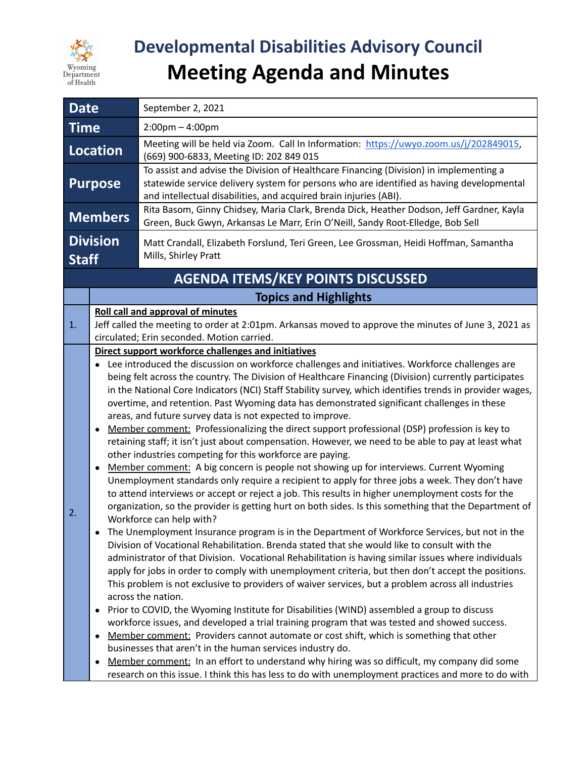

# **Developmental Disabilities Advisory Council Meeting Agenda and Minutes**

| <b>Date</b>                              | September 2, 2021                                                                                                                                                                                                                                                                                                                                                                                                                                                                                                                                                                                                                                                                                                                                                                                                                                                                                                                                                                                                                                                                                                                                                                                                                                                                                                                                                                                                                                                                                                                                                                                                                                                                                                                                                                                                                                                                                                                                                                                                                                                                                                                                                                                                                                                                                                                                        |  |
|------------------------------------------|----------------------------------------------------------------------------------------------------------------------------------------------------------------------------------------------------------------------------------------------------------------------------------------------------------------------------------------------------------------------------------------------------------------------------------------------------------------------------------------------------------------------------------------------------------------------------------------------------------------------------------------------------------------------------------------------------------------------------------------------------------------------------------------------------------------------------------------------------------------------------------------------------------------------------------------------------------------------------------------------------------------------------------------------------------------------------------------------------------------------------------------------------------------------------------------------------------------------------------------------------------------------------------------------------------------------------------------------------------------------------------------------------------------------------------------------------------------------------------------------------------------------------------------------------------------------------------------------------------------------------------------------------------------------------------------------------------------------------------------------------------------------------------------------------------------------------------------------------------------------------------------------------------------------------------------------------------------------------------------------------------------------------------------------------------------------------------------------------------------------------------------------------------------------------------------------------------------------------------------------------------------------------------------------------------------------------------------------------------|--|
| <b>Time</b>                              | $2:00 \text{pm} - 4:00 \text{pm}$                                                                                                                                                                                                                                                                                                                                                                                                                                                                                                                                                                                                                                                                                                                                                                                                                                                                                                                                                                                                                                                                                                                                                                                                                                                                                                                                                                                                                                                                                                                                                                                                                                                                                                                                                                                                                                                                                                                                                                                                                                                                                                                                                                                                                                                                                                                        |  |
| <b>Location</b>                          | Meeting will be held via Zoom. Call In Information: https://uwyo.zoom.us/j/202849015,<br>(669) 900-6833, Meeting ID: 202 849 015                                                                                                                                                                                                                                                                                                                                                                                                                                                                                                                                                                                                                                                                                                                                                                                                                                                                                                                                                                                                                                                                                                                                                                                                                                                                                                                                                                                                                                                                                                                                                                                                                                                                                                                                                                                                                                                                                                                                                                                                                                                                                                                                                                                                                         |  |
| <b>Purpose</b>                           | To assist and advise the Division of Healthcare Financing (Division) in implementing a<br>statewide service delivery system for persons who are identified as having developmental<br>and intellectual disabilities, and acquired brain injuries (ABI).                                                                                                                                                                                                                                                                                                                                                                                                                                                                                                                                                                                                                                                                                                                                                                                                                                                                                                                                                                                                                                                                                                                                                                                                                                                                                                                                                                                                                                                                                                                                                                                                                                                                                                                                                                                                                                                                                                                                                                                                                                                                                                  |  |
| <b>Members</b>                           | Rita Basom, Ginny Chidsey, Maria Clark, Brenda Dick, Heather Dodson, Jeff Gardner, Kayla<br>Green, Buck Gwyn, Arkansas Le Marr, Erin O'Neill, Sandy Root-Elledge, Bob Sell                                                                                                                                                                                                                                                                                                                                                                                                                                                                                                                                                                                                                                                                                                                                                                                                                                                                                                                                                                                                                                                                                                                                                                                                                                                                                                                                                                                                                                                                                                                                                                                                                                                                                                                                                                                                                                                                                                                                                                                                                                                                                                                                                                               |  |
| <b>Division</b><br><b>Staff</b>          | Matt Crandall, Elizabeth Forslund, Teri Green, Lee Grossman, Heidi Hoffman, Samantha<br>Mills, Shirley Pratt                                                                                                                                                                                                                                                                                                                                                                                                                                                                                                                                                                                                                                                                                                                                                                                                                                                                                                                                                                                                                                                                                                                                                                                                                                                                                                                                                                                                                                                                                                                                                                                                                                                                                                                                                                                                                                                                                                                                                                                                                                                                                                                                                                                                                                             |  |
| <b>AGENDA ITEMS/KEY POINTS DISCUSSED</b> |                                                                                                                                                                                                                                                                                                                                                                                                                                                                                                                                                                                                                                                                                                                                                                                                                                                                                                                                                                                                                                                                                                                                                                                                                                                                                                                                                                                                                                                                                                                                                                                                                                                                                                                                                                                                                                                                                                                                                                                                                                                                                                                                                                                                                                                                                                                                                          |  |
|                                          | <b>Topics and Highlights</b>                                                                                                                                                                                                                                                                                                                                                                                                                                                                                                                                                                                                                                                                                                                                                                                                                                                                                                                                                                                                                                                                                                                                                                                                                                                                                                                                                                                                                                                                                                                                                                                                                                                                                                                                                                                                                                                                                                                                                                                                                                                                                                                                                                                                                                                                                                                             |  |
| 1.                                       | <b>Roll call and approval of minutes</b><br>Jeff called the meeting to order at 2:01pm. Arkansas moved to approve the minutes of June 3, 2021 as<br>circulated; Erin seconded. Motion carried.                                                                                                                                                                                                                                                                                                                                                                                                                                                                                                                                                                                                                                                                                                                                                                                                                                                                                                                                                                                                                                                                                                                                                                                                                                                                                                                                                                                                                                                                                                                                                                                                                                                                                                                                                                                                                                                                                                                                                                                                                                                                                                                                                           |  |
| 2.<br>$\bullet$<br>$\bullet$             | Direct support workforce challenges and initiatives<br>Lee introduced the discussion on workforce challenges and initiatives. Workforce challenges are<br>being felt across the country. The Division of Healthcare Financing (Division) currently participates<br>in the National Core Indicators (NCI) Staff Stability survey, which identifies trends in provider wages,<br>overtime, and retention. Past Wyoming data has demonstrated significant challenges in these<br>areas, and future survey data is not expected to improve.<br>Member comment: Professionalizing the direct support professional (DSP) profession is key to<br>retaining staff; it isn't just about compensation. However, we need to be able to pay at least what<br>other industries competing for this workforce are paying.<br>Member comment: A big concern is people not showing up for interviews. Current Wyoming<br>Unemployment standards only require a recipient to apply for three jobs a week. They don't have<br>to attend interviews or accept or reject a job. This results in higher unemployment costs for the<br>organization, so the provider is getting hurt on both sides. Is this something that the Department of<br>Workforce can help with?<br>The Unemployment Insurance program is in the Department of Workforce Services, but not in the<br>Division of Vocational Rehabilitation. Brenda stated that she would like to consult with the<br>administrator of that Division. Vocational Rehabilitation is having similar issues where individuals<br>apply for jobs in order to comply with unemployment criteria, but then don't accept the positions.<br>This problem is not exclusive to providers of waiver services, but a problem across all industries<br>across the nation.<br>Prior to COVID, the Wyoming Institute for Disabilities (WIND) assembled a group to discuss<br>workforce issues, and developed a trial training program that was tested and showed success.<br>Member comment: Providers cannot automate or cost shift, which is something that other<br>businesses that aren't in the human services industry do.<br>Member comment: In an effort to understand why hiring was so difficult, my company did some<br>research on this issue. I think this has less to do with unemployment practices and more to do with |  |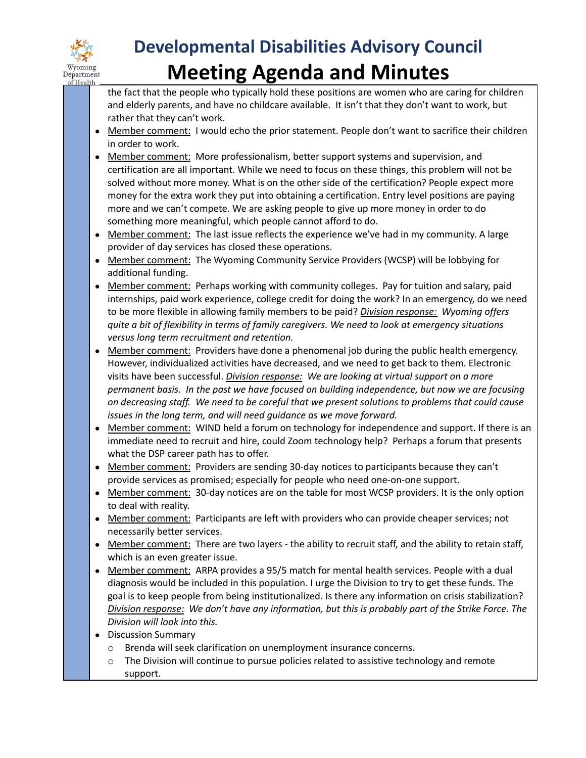

## **Developmental Disabilities Advisory Council Meeting Agenda and Minutes**

the fact that the people who typically hold these positions are women who are caring for children and elderly parents, and have no childcare available. It isn't that they don't want to work, but rather that they can't work.

- Member comment: I would echo the prior statement. People don't want to sacrifice their children in order to work.
- Member comment: More professionalism, better support systems and supervision, and certification are all important. While we need to focus on these things, this problem will not be solved without more money. What is on the other side of the certification? People expect more money for the extra work they put into obtaining a certification. Entry level positions are paying more and we can't compete. We are asking people to give up more money in order to do something more meaningful, which people cannot afford to do.
- Member comment: The last issue reflects the experience we've had in my community. A large provider of day services has closed these operations.
- Member comment: The Wyoming Community Service Providers (WCSP) will be lobbying for additional funding.
- Member comment: Perhaps working with community colleges. Pay for tuition and salary, paid internships, paid work experience, college credit for doing the work? In an emergency, do we need to be more flexible in allowing family members to be paid? *Division response: Wyoming offers quite a bit of flexibility in terms of family caregivers. We need to look at emergency situations versus long term recruitment and retention.*
- Member comment: Providers have done a phenomenal job during the public health emergency. However, individualized activities have decreased, and we need to get back to them. Electronic visits have been successful. *Division response: We are looking at virtual support on a more permanent basis. In the past we have focused on building independence, but now we are focusing on decreasing staff. We need to be careful that we present solutions to problems that could cause issues in the long term, and will need guidance as we move forward.*
- Member comment: WIND held a forum on technology for independence and support. If there is an immediate need to recruit and hire, could Zoom technology help? Perhaps a forum that presents what the DSP career path has to offer.
- Member comment: Providers are sending 30-day notices to participants because they can't provide services as promised; especially for people who need one-on-one support.
- Member comment: 30-day notices are on the table for most WCSP providers. It is the only option to deal with reality.
- Member comment: Participants are left with providers who can provide cheaper services; not necessarily better services.
- Member comment: There are two layers the ability to recruit staff, and the ability to retain staff, which is an even greater issue.
- Member comment: ARPA provides a 95/5 match for mental health services. People with a dual diagnosis would be included in this population. I urge the Division to try to get these funds. The goal is to keep people from being institutionalized. Is there any information on crisis stabilization? *Division response: We don't have any information, but this is probably part of the Strike Force. The Division will look into this.*
- Discussion Summary
	- o Brenda will seek clarification on unemployment insurance concerns.
	- $\circ$  The Division will continue to pursue policies related to assistive technology and remote support.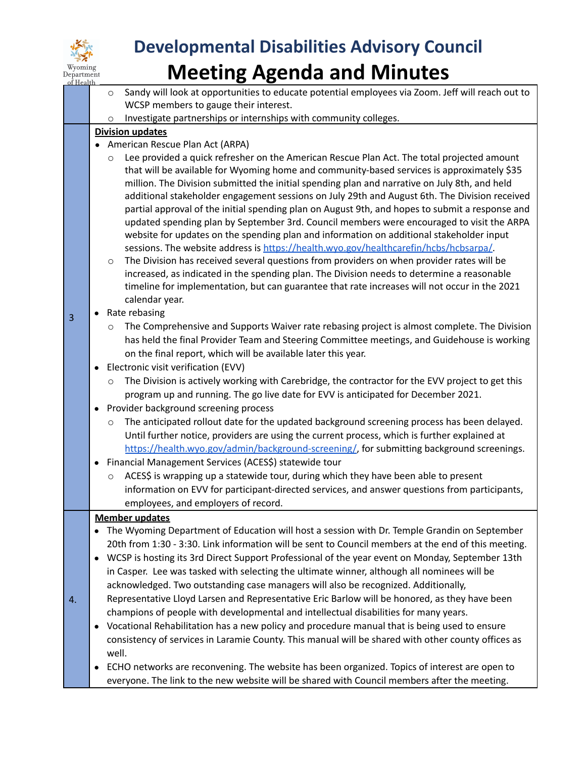

## **Developmental Disabilities Advisory Council Meeting Agenda and Minutes**

- o Sandy will look at opportunities to educate potential employees via Zoom. Jeff will reach out to WCSP members to gauge their interest.
- o Investigate partnerships or internships with community colleges.

### **Division updates**

- American Rescue Plan Act (ARPA)
	- o Lee provided a quick refresher on the American Rescue Plan Act. The total projected amount that will be available for Wyoming home and community-based services is approximately \$35 million. The Division submitted the initial spending plan and narrative on July 8th, and held additional stakeholder engagement sessions on July 29th and August 6th. The Division received partial approval of the initial spending plan on August 9th, and hopes to submit a response and updated spending plan by September 3rd. Council members were encouraged to visit the ARPA website for updates on the spending plan and information on additional stakeholder input sessions. The website address is [https://health.wyo.gov/healthcarefin/hcbs/hcbsarpa/.](https://health.wyo.gov/healthcarefin/hcbs/hcbsarpa/)
	- o The Division has received several questions from providers on when provider rates will be increased, as indicated in the spending plan. The Division needs to determine a reasonable timeline for implementation, but can guarantee that rate increases will not occur in the 2021 calendar year.

#### ● Rate rebasing

3

4.

- o The Comprehensive and Supports Waiver rate rebasing project is almost complete. The Division has held the final Provider Team and Steering Committee meetings, and Guidehouse is working on the final report, which will be available later this year.
- Electronic visit verification (EVV)
	- The Division is actively working with Carebridge, the contractor for the EVV project to get this program up and running. The go live date for EVV is anticipated for December 2021.
- Provider background screening process
	- o The anticipated rollout date for the updated background screening process has been delayed. Until further notice, providers are using the current process, which is further explained at [https://health.wyo.gov/admin/background-screening/,](https://health.wyo.gov/admin/background-screening/) for submitting background screenings.
- Financial Management Services (ACES\$) statewide tour
	- $\circ$  ACES\$ is wrapping up a statewide tour, during which they have been able to present information on EVV for participant-directed services, and answer questions from participants, employees, and employers of record.

#### **Member updates**

- The Wyoming Department of Education will host a session with Dr. Temple Grandin on September 20th from 1:30 - 3:30. Link information will be sent to Council members at the end of this meeting.
- WCSP is hosting its 3rd Direct Support Professional of the year event on Monday, September 13th in Casper. Lee was tasked with selecting the ultimate winner, although all nominees will be acknowledged. Two outstanding case managers will also be recognized. Additionally, Representative Lloyd Larsen and Representative Eric Barlow will be honored, as they have been
- champions of people with developmental and intellectual disabilities for many years.
- Vocational Rehabilitation has a new policy and procedure manual that is being used to ensure consistency of services in Laramie County. This manual will be shared with other county offices as well.
- ECHO networks are reconvening. The website has been organized. Topics of interest are open to everyone. The link to the new website will be shared with Council members after the meeting.